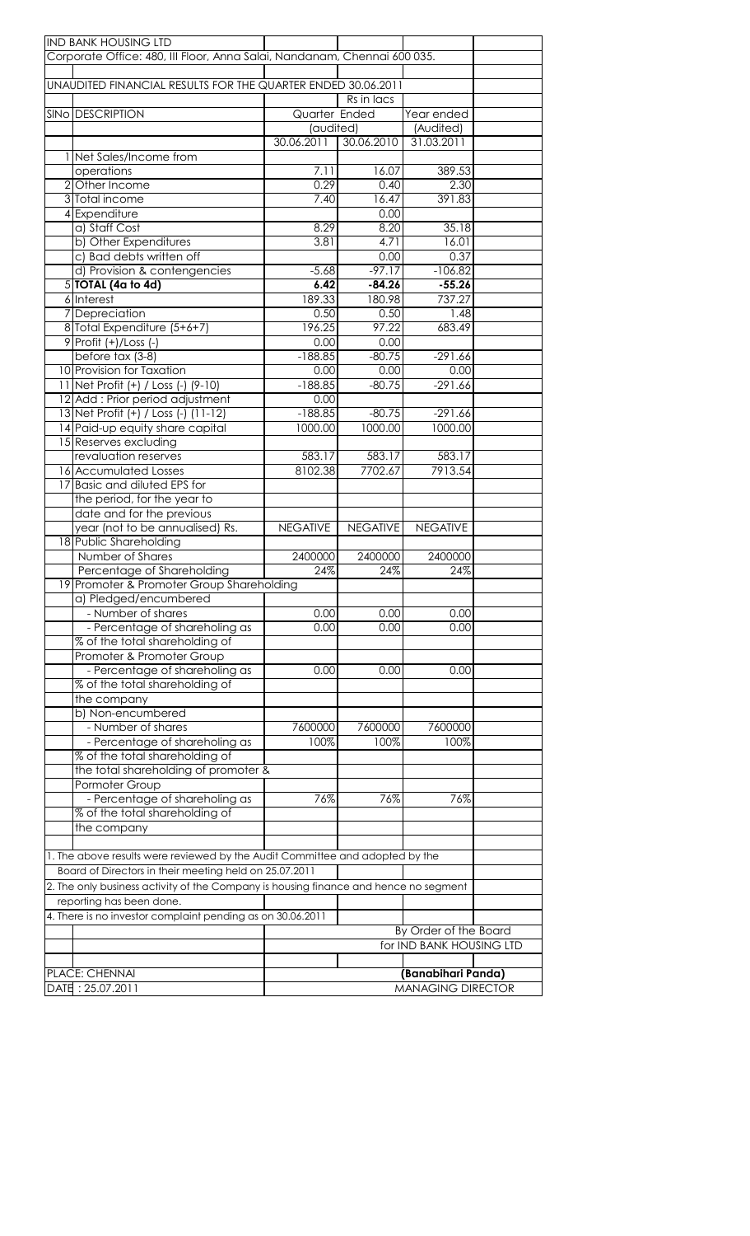| <b>IND BANK HOUSING LTD</b>                                                          |                 |                 |                          |  |
|--------------------------------------------------------------------------------------|-----------------|-----------------|--------------------------|--|
| Corporate Office: 480, III Floor, Anna Salai, Nandanam, Chennai 600 035.             |                 |                 |                          |  |
|                                                                                      |                 |                 |                          |  |
| UNAUDITED FINANCIAL RESULTS FOR THE QUARTER ENDED 30.06.2011                         |                 |                 |                          |  |
|                                                                                      |                 | Rs in lacs      |                          |  |
| <b>SINO DESCRIPTION</b>                                                              | Quarter Ended   |                 | Year ended               |  |
|                                                                                      | (audited)       |                 | (Audited)                |  |
|                                                                                      | 30.06.2011      | 30.06.2010      | 31.03.2011               |  |
| 1 Net Sales/Income from                                                              |                 |                 |                          |  |
| operations                                                                           | 7.11            | 16.07           | 389.53                   |  |
| 2 Other Income                                                                       | 0.29            | 0.40            | 2.30                     |  |
| 3 Total income                                                                       | 7.40            | 16.47           | 391.83                   |  |
| 4 Expenditure                                                                        |                 | 0.00            |                          |  |
| a) Staff Cost                                                                        | 8.29            | 8.20            | 35.18                    |  |
| b) Other Expenditures                                                                | 3.81            | 4.71            | 16.01                    |  |
| c) Bad debts written off                                                             |                 | 0.00            | 0.37                     |  |
| d) Provision & contengencies                                                         | $-5.68$         | $-97.17$        | $-106.82$                |  |
| $5$ $TOIAL$ (4a to 4d)                                                               | 6.42            | $-84.26$        | $-55.26$                 |  |
| 6 Interest                                                                           | 189.33          | 180.98          | 737.27                   |  |
| 7 Depreciation                                                                       | 0.50            | 0.50            | 1.48                     |  |
| 8 Total Expenditure (5+6+7)                                                          | 196.25          | 97.22           | 683.49                   |  |
| 9 Profit (+)/Loss (-)                                                                | 0.00            | 0.00            |                          |  |
| before tax (3-8)                                                                     | $-188.85$       | $-80.75$        | $-291.66$                |  |
| 10 Provision for Taxation                                                            | 0.00            | 0.00            | 0.00                     |  |
| 11 Net Profit (+) / Loss (-) (9-10)                                                  | $-188.85$       | $-80.75$        | $-291.66$                |  |
| 12 Add: Prior period adjustment                                                      | 0.00            |                 |                          |  |
| 13 Net Profit (+) / Loss (-) (11-12)                                                 | $-188.85$       | $-80.75$        | $-291.66$                |  |
| 14 Paid-up equity share capital                                                      | 1000.00         | 1000.00         | 1000.00                  |  |
| 15 Reserves excluding                                                                |                 |                 |                          |  |
| revaluation reserves                                                                 | 583.17          | 583.17          | 583.17                   |  |
| 16 Accumulated Losses                                                                | 8102.38         | 7702.67         | 7913.54                  |  |
| Basic and diluted EPS for                                                            |                 |                 |                          |  |
| the period, for the year to                                                          |                 |                 |                          |  |
| date and for the previous                                                            |                 |                 |                          |  |
| year (not to be annualised) Rs.                                                      | <b>NEGATIVE</b> | <b>NEGATIVE</b> | <b>NEGATIVE</b>          |  |
| 18 Public Shareholding                                                               |                 |                 |                          |  |
| Number of Shares                                                                     | 2400000         | 2400000         | 2400000                  |  |
| Percentage of Shareholding                                                           | 24%             | 24%             | 24%                      |  |
| 19 Promoter & Promoter Group Shareholding                                            |                 |                 |                          |  |
| a) Pledged/encumbered                                                                |                 |                 |                          |  |
| - Number of shares                                                                   | 0.00            | 0.00            | 0.00                     |  |
| - Percentage of shareholing as                                                       | 0.00            | 0.00            | 0.00                     |  |
| % of the total shareholding of                                                       |                 |                 |                          |  |
| Promoter & Promoter Group                                                            |                 |                 |                          |  |
| - Percentage of shareholing as                                                       | 0.00            | 0.00            | 0.00                     |  |
| % of the total shareholding of                                                       |                 |                 |                          |  |
| the company                                                                          |                 |                 |                          |  |
| b) Non-encumbered                                                                    |                 |                 |                          |  |
| - Number of shares                                                                   | 7600000         | 7600000         | 7600000                  |  |
| - Percentage of shareholing as                                                       | 100%            | 100%            | 100%                     |  |
| % of the total shareholding of                                                       |                 |                 |                          |  |
| the total shareholding of promoter &                                                 |                 |                 |                          |  |
| Pormoter Group                                                                       |                 |                 |                          |  |
| - Percentage of shareholing as                                                       | 76%             | 76%             | 76%                      |  |
| % of the total shareholding of                                                       |                 |                 |                          |  |
| the company                                                                          |                 |                 |                          |  |
|                                                                                      |                 |                 |                          |  |
| 1. The above results were reviewed by the Audit Committee and adopted by the         |                 |                 |                          |  |
| Board of Directors in their meeting held on 25.07.2011                               |                 |                 |                          |  |
| 2. The only business activity of the Company is housing finance and hence no segment |                 |                 |                          |  |
| reporting has been done.                                                             |                 |                 |                          |  |
| 4. There is no investor complaint pending as on 30.06.2011                           |                 |                 |                          |  |
|                                                                                      |                 |                 | By Order of the Board    |  |
|                                                                                      |                 |                 | for IND BANK HOUSING LTD |  |
|                                                                                      |                 |                 |                          |  |
| PLACE: CHENNAI                                                                       |                 |                 | (Banabihari Panda)       |  |
| DATE: 25.07.2011                                                                     |                 |                 | <b>MANAGING DIRECTOR</b> |  |